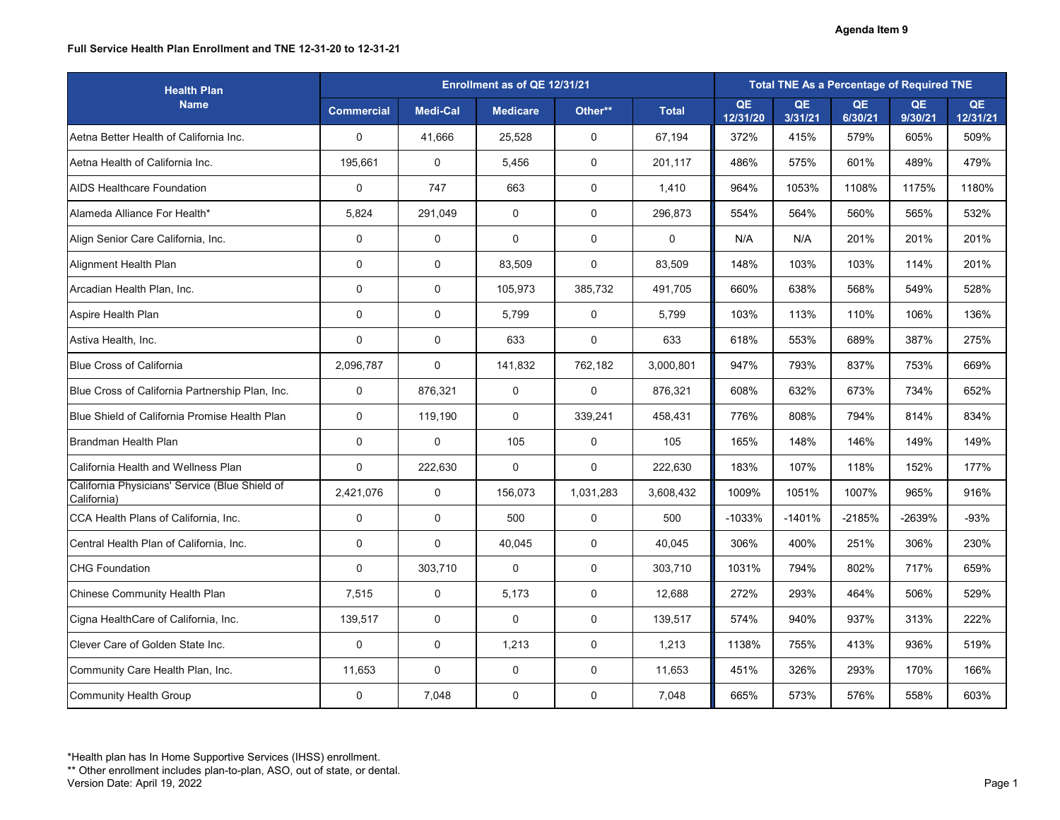### **Full Service Health Plan Enrollment and TNE 12-31-20 to 12-31-21**

| <b>Health Plan</b>                                            |                   | Enrollment as of QE 12/31/21 |                 |                  |              |                |               | <b>Total TNE As a Percentage of Required TNE</b> |               |                |
|---------------------------------------------------------------|-------------------|------------------------------|-----------------|------------------|--------------|----------------|---------------|--------------------------------------------------|---------------|----------------|
| <b>Name</b>                                                   | <b>Commercial</b> | <b>Medi-Cal</b>              | <b>Medicare</b> | Other**          | <b>Total</b> | QE<br>12/31/20 | QE<br>3/31/21 | QE<br>6/30/21                                    | QE<br>9/30/21 | QE<br>12/31/21 |
| Aetna Better Health of California Inc.                        | $\overline{0}$    | 41,666                       | 25,528          | $\mathbf 0$      | 67,194       | 372%           | 415%          | 579%                                             | 605%          | 509%           |
| Aetna Health of California Inc.                               | 195,661           | $\overline{0}$               | 5,456           | $\mathbf 0$      | 201,117      | 486%           | 575%          | 601%                                             | 489%          | 479%           |
| <b>AIDS Healthcare Foundation</b>                             | $\mathbf 0$       | 747                          | 663             | $\mathbf 0$      | 1,410        | 964%           | 1053%         | 1108%                                            | 1175%         | 1180%          |
| Alameda Alliance For Health*                                  | 5,824             | 291,049                      | $\overline{0}$  | $\mathbf 0$      | 296,873      | 554%           | 564%          | 560%                                             | 565%          | 532%           |
| Align Senior Care California, Inc.                            | $\overline{0}$    | $\overline{0}$               | $\mathbf 0$     | $\mathbf 0$      | $\mathbf 0$  | N/A            | N/A           | 201%                                             | 201%          | 201%           |
| Alignment Health Plan                                         | $\pmb{0}$         | $\mathbf 0$                  | 83,509          | 0                | 83,509       | 148%           | 103%          | 103%                                             | 114%          | 201%           |
| Arcadian Health Plan, Inc.                                    | $\mathbf 0$       | $\overline{0}$               | 105,973         | 385,732          | 491,705      | 660%           | 638%          | 568%                                             | 549%          | 528%           |
| Aspire Health Plan                                            | $\mathbf 0$       | $\overline{0}$               | 5,799           | $\mathbf 0$      | 5,799        | 103%           | 113%          | 110%                                             | 106%          | 136%           |
| Astiva Health, Inc.                                           | $\overline{0}$    | $\overline{0}$               | 633             | $\boldsymbol{0}$ | 633          | 618%           | 553%          | 689%                                             | 387%          | 275%           |
| <b>Blue Cross of California</b>                               | 2,096,787         | $\overline{0}$               | 141,832         | 762,182          | 3,000,801    | 947%           | 793%          | 837%                                             | 753%          | 669%           |
| Blue Cross of California Partnership Plan, Inc.               | $\overline{0}$    | 876,321                      | $\mathbf 0$     | 0                | 876,321      | 608%           | 632%          | 673%                                             | 734%          | 652%           |
| Blue Shield of California Promise Health Plan                 | $\mathbf 0$       | 119,190                      | $\overline{0}$  | 339,241          | 458,431      | 776%           | 808%          | 794%                                             | 814%          | 834%           |
| Brandman Health Plan                                          | $\overline{0}$    | $\mathbf 0$                  | 105             | $\mathbf 0$      | 105          | 165%           | 148%          | 146%                                             | 149%          | 149%           |
| <b>California Health and Wellness Plan</b>                    | $\mathbf 0$       | 222,630                      | $\overline{0}$  | $\mathbf 0$      | 222,630      | 183%           | 107%          | 118%                                             | 152%          | 177%           |
| California Physicians' Service (Blue Shield of<br>California) | 2,421,076         | $\mathbf 0$                  | 156,073         | 1,031,283        | 3,608,432    | 1009%          | 1051%         | 1007%                                            | 965%          | 916%           |
| CCA Health Plans of California, Inc.                          | $\mathbf 0$       | $\overline{0}$               | 500             | $\overline{0}$   | 500          | $-1033%$       | $-1401%$      | $-2185%$                                         | -2639%        | $-93%$         |
| Central Health Plan of California, Inc.                       | $\mathbf 0$       | $\overline{0}$               | 40,045          | $\mathbf 0$      | 40,045       | 306%           | 400%          | 251%                                             | 306%          | 230%           |
| <b>CHG Foundation</b>                                         | $\mathbf 0$       | 303,710                      | $\overline{0}$  | $\overline{0}$   | 303,710      | 1031%          | 794%          | 802%                                             | 717%          | 659%           |
| <b>Chinese Community Health Plan</b>                          | 7,515             | $\overline{0}$               | 5,173           | $\overline{0}$   | 12,688       | 272%           | 293%          | 464%                                             | 506%          | 529%           |
| Cigna HealthCare of California, Inc.                          | 139,517           | $\overline{0}$               | $\overline{0}$  | $\boldsymbol{0}$ | 139,517      | 574%           | 940%          | 937%                                             | 313%          | 222%           |
| Clever Care of Golden State Inc.                              | $\mathbf 0$       | $\boldsymbol{0}$             | 1,213           | $\boldsymbol{0}$ | 1,213        | 1138%          | 755%          | 413%                                             | 936%          | 519%           |
| Community Care Health Plan, Inc.                              | 11,653            | $\overline{0}$               | $\overline{0}$  | $\boldsymbol{0}$ | 11,653       | 451%           | 326%          | 293%                                             | 170%          | 166%           |
| Community Health Group                                        | $\boldsymbol{0}$  | 7,048                        | $\mathbf 0$     | $\boldsymbol{0}$ | 7,048        | 665%           | 573%          | 576%                                             | 558%          | 603%           |

<sup>\*</sup>Health plan has In Home Supportive Services (IHSS) enrollment.

<sup>\*\*</sup> Other enrollment includes plan-to-plan, ASO, out of state, or dental.

Version Date: April 19, 2022 Page 1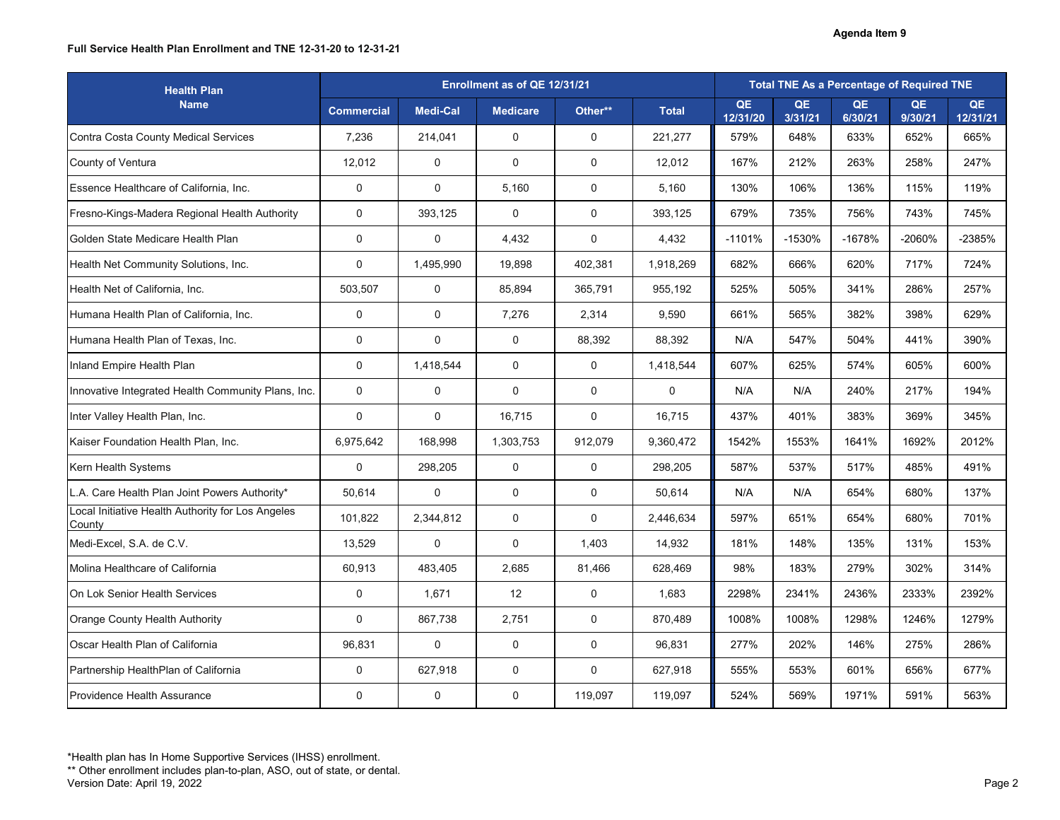### **Full Service Health Plan Enrollment and TNE 12-31-20 to 12-31-21**

| <b>Health Plan</b>                                          |                   | Enrollment as of QE 12/31/21 |                 |                  |                |                |                      | <b>Total TNE As a Percentage of Required TNE</b> |               |                |
|-------------------------------------------------------------|-------------------|------------------------------|-----------------|------------------|----------------|----------------|----------------------|--------------------------------------------------|---------------|----------------|
| <b>Name</b>                                                 | <b>Commercial</b> | <b>Medi-Cal</b>              | <b>Medicare</b> | Other**          | <b>Total</b>   | QE<br>12/31/20 | <b>QE</b><br>3/31/21 | QE<br>6/30/21                                    | QE<br>9/30/21 | QE<br>12/31/21 |
| Contra Costa County Medical Services                        | 7,236             | 214,041                      | $\mathbf 0$     | $\mathbf 0$      | 221,277        | 579%           | 648%                 | 633%                                             | 652%          | 665%           |
| County of Ventura                                           | 12,012            | $\overline{0}$               | $\mathbf 0$     | $\mathbf 0$      | 12,012         | 167%           | 212%                 | 263%                                             | 258%          | 247%           |
| Essence Healthcare of California, Inc.                      | $\mathbf 0$       | $\mathbf 0$                  | 5,160           | $\mathbf 0$      | 5,160          | 130%           | 106%                 | 136%                                             | 115%          | 119%           |
| <b>Fresno-Kings-Madera Regional Health Authority</b>        | $\mathbf 0$       | 393,125                      | $\overline{0}$  | $\mathbf 0$      | 393,125        | 679%           | 735%                 | 756%                                             | 743%          | 745%           |
| Golden State Medicare Health Plan                           | $\mathbf 0$       | $\overline{0}$               | 4,432           | $\mathbf 0$      | 4,432          | $-1101%$       | -1530%               | $-1678%$                                         | -2060%        | -2385%         |
| Health Net Community Solutions, Inc.                        | $\mathbf 0$       | 1,495,990                    | 19,898          | 402,381          | 1,918,269      | 682%           | 666%                 | 620%                                             | 717%          | 724%           |
| Health Net of California, Inc.                              | 503,507           | $\overline{0}$               | 85,894          | 365,791          | 955,192        | 525%           | 505%                 | 341%                                             | 286%          | 257%           |
| Humana Health Plan of California, Inc.                      | $\mathbf 0$       | $\mathbf 0$                  | 7,276           | 2,314            | 9,590          | 661%           | 565%                 | 382%                                             | 398%          | 629%           |
| Humana Health Plan of Texas, Inc.                           | $\mathbf 0$       | $\overline{0}$               | $\overline{0}$  | 88,392           | 88,392         | N/A            | 547%                 | 504%                                             | 441%          | 390%           |
| Inland Empire Health Plan                                   | $\mathbf 0$       | 1,418,544                    | $\mathbf 0$     | $\mathbf 0$      | 1,418,544      | 607%           | 625%                 | 574%                                             | 605%          | 600%           |
| Innovative Integrated Health Community Plans, Inc.          | $\mathbf 0$       | $\overline{0}$               | $\overline{0}$  | $\mathbf 0$      | $\overline{0}$ | N/A            | N/A                  | 240%                                             | 217%          | 194%           |
| Inter Valley Health Plan, Inc.                              | $\mathbf 0$       | $\overline{0}$               | 16,715          | $\mathbf 0$      | 16,715         | 437%           | 401%                 | 383%                                             | 369%          | 345%           |
| Kaiser Foundation Health Plan, Inc.                         | 6,975,642         | 168,998                      | 1,303,753       | 912,079          | 9,360,472      | 1542%          | 1553%                | 1641%                                            | 1692%         | 2012%          |
| <b>Kern Health Systems</b>                                  | $\boldsymbol{0}$  | 298,205                      | $\mathbf 0$     | $\mathbf 0$      | 298,205        | 587%           | 537%                 | 517%                                             | 485%          | 491%           |
| L.A. Care Health Plan Joint Powers Authority*               | 50,614            | $\overline{0}$               | $\overline{0}$  | $\mathbf 0$      | 50,614         | N/A            | N/A                  | 654%                                             | 680%          | 137%           |
| Local Initiative Health Authority for Los Angeles<br>County | 101,822           | 2,344,812                    | $\overline{0}$  | 0                | 2,446,634      | 597%           | 651%                 | 654%                                             | 680%          | 701%           |
| Medi-Excel, S.A. de C.V.                                    | 13,529            | $\overline{0}$               | $\overline{0}$  | 1,403            | 14,932         | 181%           | 148%                 | 135%                                             | 131%          | 153%           |
| Molina Healthcare of California                             | 60,913            | 483,405                      | 2,685           | 81,466           | 628,469        | 98%            | 183%                 | 279%                                             | 302%          | 314%           |
| On Lok Senior Health Services                               | $\overline{0}$    | 1,671                        | 12              | $\mathbf 0$      | 1,683          | 2298%          | 2341%                | 2436%                                            | 2333%         | 2392%          |
| <b>Orange County Health Authority</b>                       | $\overline{0}$    | 867,738                      | 2,751           | $\boldsymbol{0}$ | 870,489        | 1008%          | 1008%                | 1298%                                            | 1246%         | 1279%          |
| Oscar Health Plan of California                             | 96,831            | $\mathbf 0$                  | $\overline{0}$  | $\mathbf 0$      | 96,831         | 277%           | 202%                 | 146%                                             | 275%          | 286%           |
| Partnership HealthPlan of California                        | $\overline{0}$    | 627,918                      | $\overline{0}$  | $\mathbf 0$      | 627,918        | 555%           | 553%                 | 601%                                             | 656%          | 677%           |
| <b>Providence Health Assurance</b>                          | $\pmb{0}$         | $\boldsymbol{0}$             | $\mathbf 0$     | 119,097          | 119,097        | 524%           | 569%                 | 1971%                                            | 591%          | 563%           |

\*\* Other enrollment includes plan-to-plan, ASO, out of state, or dental.

Version Date: April 19, 2022 Page 2

<sup>\*</sup>Health plan has In Home Supportive Services (IHSS) enrollment.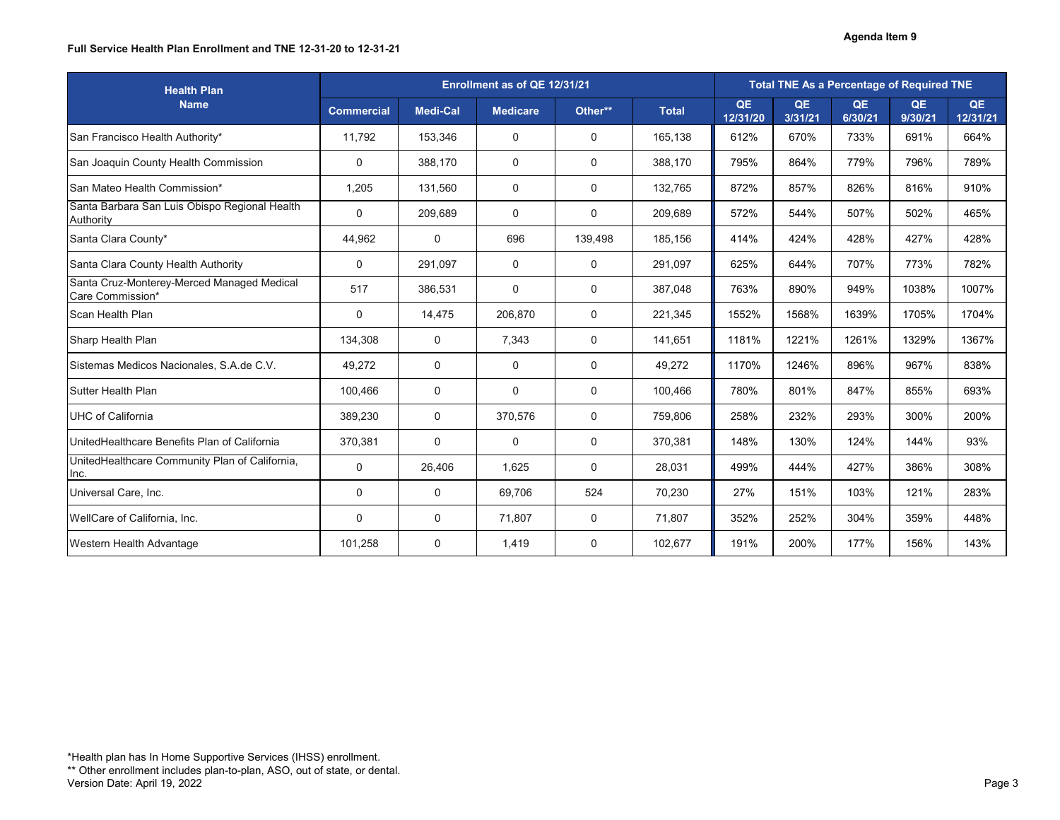### **Full Service Health Plan Enrollment and TNE 12-31-20 to 12-31-21**

| <b>Health Plan</b>                                             |                   | Enrollment as of QE 12/31/21 |                 |                  |              |                |                      | <b>Total TNE As a Percentage of Required TNE</b> |               |                |
|----------------------------------------------------------------|-------------------|------------------------------|-----------------|------------------|--------------|----------------|----------------------|--------------------------------------------------|---------------|----------------|
| <b>Name</b>                                                    | <b>Commercial</b> | Medi-Cal                     | <b>Medicare</b> | Other**          | <b>Total</b> | QE<br>12/31/20 | <b>QE</b><br>3/31/21 | QE<br>6/30/21                                    | QE<br>9/30/21 | QE<br>12/31/21 |
| San Francisco Health Authority*                                | 11,792            | 153,346                      | $\mathbf 0$     | $\mathbf 0$      | 165,138      | 612%           | 670%                 | 733%                                             | 691%          | 664%           |
| San Joaquin County Health Commission                           | $\mathbf 0$       | 388,170                      | $\mathbf 0$     | $\mathbf 0$      | 388,170      | 795%           | 864%                 | 779%                                             | 796%          | 789%           |
| San Mateo Health Commission*                                   | 1,205             | 131,560                      | $\mathbf 0$     | $\mathbf 0$      | 132,765      | 872%           | 857%                 | 826%                                             | 816%          | 910%           |
| Santa Barbara San Luis Obispo Regional Health<br>Authority     | $\mathbf 0$       | 209,689                      | $\overline{0}$  | $\mathbf 0$      | 209,689      | 572%           | 544%                 | 507%                                             | 502%          | 465%           |
| Santa Clara County*                                            | 44,962            | $\overline{0}$               | 696             | 139,498          | 185,156      | 414%           | 424%                 | 428%                                             | 427%          | 428%           |
| Santa Clara County Health Authority                            | $\boldsymbol{0}$  | 291,097                      | $\mathbf 0$     | 0                | 291,097      | 625%           | 644%                 | 707%                                             | 773%          | 782%           |
| Santa Cruz-Monterey-Merced Managed Medical<br>Care Commission* | 517               | 386,531                      | $\mathbf 0$     | $\mathbf 0$      | 387,048      | 763%           | 890%                 | 949%                                             | 1038%         | 1007%          |
| Scan Health Plan                                               | $\mathbf 0$       | 14,475                       | 206,870         | $\mathbf 0$      | 221,345      | 1552%          | 1568%                | 1639%                                            | 1705%         | 1704%          |
| Sharp Health Plan                                              | 134,308           | $\overline{0}$               | 7,343           | $\boldsymbol{0}$ | 141,651      | 1181%          | 1221%                | 1261%                                            | 1329%         | 1367%          |
| Sistemas Medicos Nacionales, S.A.de C.V.                       | 49,272            | $\overline{0}$               | $\overline{0}$  | $\mathbf 0$      | 49,272       | 1170%          | 1246%                | 896%                                             | 967%          | 838%           |
| <b>Sutter Health Plan</b>                                      | 100,466           | $\overline{0}$               | $\mathbf 0$     | $\mathbf 0$      | 100,466      | 780%           | 801%                 | 847%                                             | 855%          | 693%           |
| UHC of California                                              | 389,230           | $\overline{0}$               | 370,576         | $\mathbf 0$      | 759,806      | 258%           | 232%                 | 293%                                             | 300%          | 200%           |
| UnitedHealthcare Benefits Plan of California                   | 370,381           | $\mathbf 0$                  | $\mathbf 0$     | $\mathbf 0$      | 370,381      | 148%           | 130%                 | 124%                                             | 144%          | 93%            |
| UnitedHealthcare Community Plan of California,<br>Inc.         | $\overline{0}$    | 26,406                       | 1,625           | $\mathbf 0$      | 28,031       | 499%           | 444%                 | 427%                                             | 386%          | 308%           |
| Universal Care, Inc.                                           | $\overline{0}$    | $\mathbf 0$                  | 69,706          | 524              | 70,230       | 27%            | 151%                 | 103%                                             | 121%          | 283%           |
| WellCare of California, Inc.                                   | $\overline{0}$    | $\boldsymbol{0}$             | 71,807          | 0                | 71,807       | 352%           | 252%                 | 304%                                             | 359%          | 448%           |
| <b>Western Health Advantage</b>                                | 101,258           | $\boldsymbol{0}$             | 1,419           | $\boldsymbol{0}$ | 102,677      | 191%           | 200%                 | 177%                                             | 156%          | 143%           |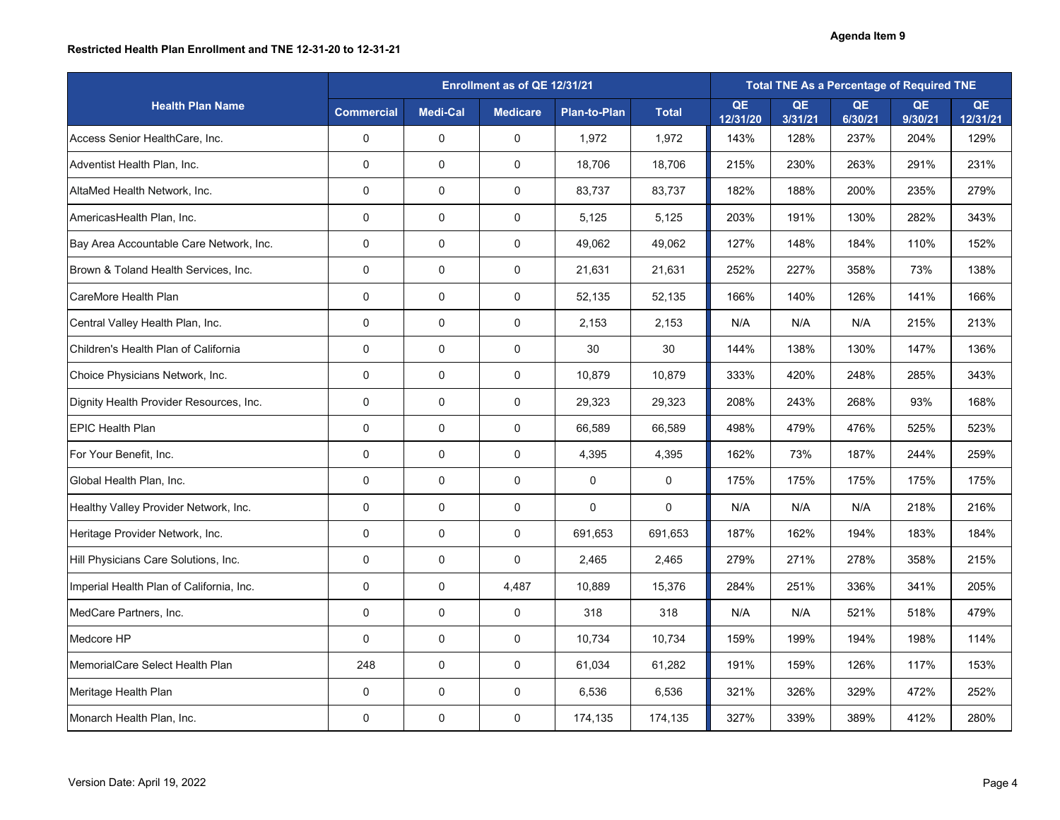## **Restricted Health Plan Enrollment and TNE 12-31-20 to 12-31-21**

|                                          |                   | Enrollment as of QE 12/31/21 |                 |                     |                |                |                      |                      | <b>Total TNE As a Percentage of Required TNE</b> |                |
|------------------------------------------|-------------------|------------------------------|-----------------|---------------------|----------------|----------------|----------------------|----------------------|--------------------------------------------------|----------------|
| <b>Health Plan Name</b>                  | <b>Commercial</b> | <b>Medi-Cal</b>              | <b>Medicare</b> | <b>Plan-to-Plan</b> | <b>Total</b>   | QE<br>12/31/20 | <b>QE</b><br>3/31/21 | <b>QE</b><br>6/30/21 | <b>QE</b><br>9/30/21                             | QE<br>12/31/21 |
| Access Senior HealthCare, Inc.           | $\overline{0}$    | $\mathbf 0$                  | $\overline{0}$  | 1,972               | 1,972          | 143%           | 128%                 | 237%                 | 204%                                             | 129%           |
| Adventist Health Plan, Inc.              | $\mathbf 0$       | $\mathbf 0$                  | 0               | 18,706              | 18,706         | 215%           | 230%                 | 263%                 | 291%                                             | 231%           |
| AltaMed Health Network, Inc.             | $\overline{0}$    | $\overline{0}$               | $\overline{0}$  | 83,737              | 83,737         | 182%           | 188%                 | 200%                 | 235%                                             | 279%           |
| AmericasHealth Plan, Inc.                | $\overline{0}$    | $\mathbf 0$                  | $\mathbf 0$     | 5,125               | 5,125          | 203%           | 191%                 | 130%                 | 282%                                             | 343%           |
| Bay Area Accountable Care Network, Inc.  | $\overline{0}$    | $\mathbf 0$                  | $\overline{0}$  | 49,062              | 49,062         | 127%           | 148%                 | 184%                 | 110%                                             | 152%           |
| Brown & Toland Health Services, Inc.     | $\overline{0}$    | $\mathbf 0$                  | $\overline{0}$  | 21,631              | 21,631         | 252%           | 227%                 | 358%                 | 73%                                              | 138%           |
| <b>CareMore Health Plan</b>              | $\overline{0}$    | $\mathbf 0$                  | 0               | 52,135              | 52,135         | 166%           | 140%                 | 126%                 | 141%                                             | 166%           |
| Central Valley Health Plan, Inc.         | $\overline{0}$    | $\mathbf 0$                  | $\overline{0}$  | 2,153               | 2,153          | N/A            | N/A                  | N/A                  | 215%                                             | 213%           |
| Children's Health Plan of California     | $\overline{0}$    | $\mathbf 0$                  | $\overline{0}$  | 30                  | 30             | 144%           | 138%                 | 130%                 | 147%                                             | 136%           |
| Choice Physicians Network, Inc.          | $\mathbf 0$       | $\mathbf 0$                  | 0               | 10,879              | 10,879         | 333%           | 420%                 | 248%                 | 285%                                             | 343%           |
| Dignity Health Provider Resources, Inc.  | $\overline{0}$    | $\mathbf 0$                  | $\overline{0}$  | 29,323              | 29,323         | 208%           | 243%                 | 268%                 | 93%                                              | 168%           |
| <b>EPIC Health Plan</b>                  | $\overline{0}$    | $\mathbf 0$                  | $\mathbf 0$     | 66,589              | 66,589         | 498%           | 479%                 | 476%                 | 525%                                             | 523%           |
| For Your Benefit, Inc.                   | $\overline{0}$    | $\mathbf 0$                  | $\overline{0}$  | 4,395               | 4,395          | 162%           | 73%                  | 187%                 | 244%                                             | 259%           |
| Global Health Plan, Inc.                 | $\overline{0}$    | 0                            | $\overline{0}$  | $\overline{0}$      | $\overline{0}$ | 175%           | 175%                 | 175%                 | 175%                                             | 175%           |
| Healthy Valley Provider Network, Inc.    | $\overline{0}$    | $\overline{0}$               | $\overline{0}$  | $\overline{0}$      | $\overline{0}$ | N/A            | N/A                  | N/A                  | 218%                                             | 216%           |
| Heritage Provider Network, Inc.          | $\overline{0}$    | $\overline{0}$               | $\overline{0}$  | 691,653             | 691,653        | 187%           | 162%                 | 194%                 | 183%                                             | 184%           |
| Hill Physicians Care Solutions, Inc.     | $\overline{0}$    | $\mathbf 0$                  | $\overline{0}$  | 2,465               | 2,465          | 279%           | 271%                 | 278%                 | 358%                                             | 215%           |
| Imperial Health Plan of California, Inc. | $\overline{0}$    | $\overline{0}$               | 4,487           | 10,889              | 15,376         | 284%           | 251%                 | 336%                 | 341%                                             | 205%           |
| MedCare Partners, Inc.                   | $\overline{0}$    | $\mathbf 0$                  | $\overline{0}$  | 318                 | 318            | N/A            | N/A                  | 521%                 | 518%                                             | 479%           |
| Medcore HP                               | $\overline{0}$    | $\overline{0}$               | $\overline{0}$  | 10,734              | 10,734         | 159%           | 199%                 | 194%                 | 198%                                             | 114%           |
| MemorialCare Select Health Plan          | 248               | $\overline{0}$               | $\overline{0}$  | 61,034              | 61,282         | 191%           | 159%                 | 126%                 | 117%                                             | 153%           |
| Meritage Health Plan                     | $\overline{0}$    | $\mathbf 0$                  | $\overline{0}$  | 6,536               | 6,536          | 321%           | 326%                 | 329%                 | 472%                                             | 252%           |
| Monarch Health Plan, Inc.                | $\overline{0}$    | $\mathbf 0$                  | $\overline{0}$  | 174,135             | 174,135        | 327%           | 339%                 | 389%                 | 412%                                             | 280%           |

### **Agenda Item 9**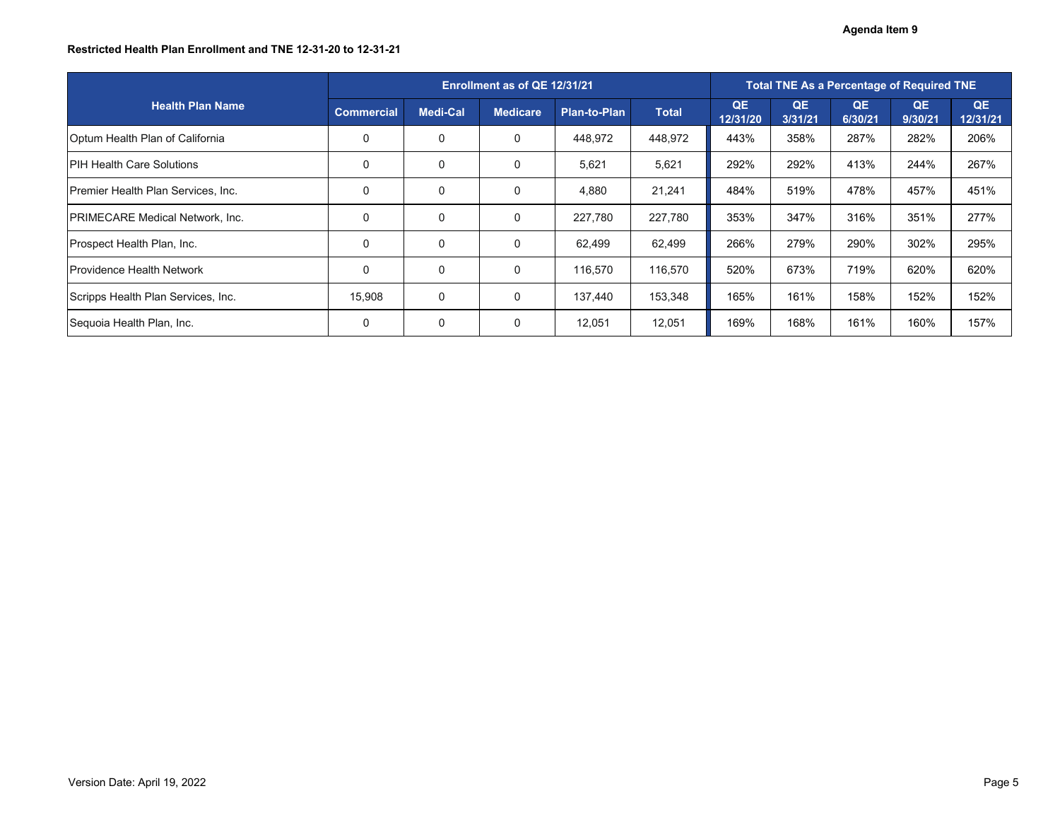## **Restricted Health Plan Enrollment and TNE 12-31-20 to 12-31-21**

|                                        |                   | Enrollment as of QE 12/31/21 |                 |              |              |                |                      | <b>Total TNE As a Percentage of Required TNE</b> |               |                |
|----------------------------------------|-------------------|------------------------------|-----------------|--------------|--------------|----------------|----------------------|--------------------------------------------------|---------------|----------------|
| <b>Health Plan Name</b>                | <b>Commercial</b> | Medi-Cal                     | <b>Medicare</b> | Plan-to-Plan | <b>Total</b> | QE<br>12/31/20 | <b>QE</b><br>3/31/21 | QE<br>6/30/21                                    | QE<br>9/30/21 | QE<br>12/31/21 |
| Optum Health Plan of California        | $\mathbf 0$       | $\mathbf 0$                  | $\overline{0}$  | 448,972      | 448,972      | 443%           | 358%                 | 287%                                             | 282%          | 206%           |
| <b>IPIH Health Care Solutions</b>      | 0                 | $\mathbf 0$                  | $\overline{0}$  | 5,621        | 5,621        | 292%           | 292%                 | 413%                                             | 244%          | 267%           |
| Premier Health Plan Services, Inc.     | $\overline{0}$    | $\mathbf 0$                  | $\overline{0}$  | 4,880        | 21,241       | 484%           | 519%                 | 478%                                             | 457%          | 451%           |
| <b>PRIMECARE Medical Network, Inc.</b> | $\overline{0}$    | $\overline{0}$               | $\overline{0}$  | 227,780      | 227,780      | 353%           | 347%                 | 316%                                             | 351%          | 277%           |
| <b>Prospect Health Plan, Inc.</b>      | 0                 | $\mathbf 0$                  | $\overline{0}$  | 62,499       | 62,499       | 266%           | 279%                 | 290%                                             | 302%          | 295%           |
| <b>Providence Health Network</b>       | $\overline{0}$    | $\mathbf 0$                  | $\overline{0}$  | 116,570      | 116,570      | 520%           | 673%                 | 719%                                             | 620%          | 620%           |
| Scripps Health Plan Services, Inc.     | 15,908            | $\overline{0}$               | $\overline{0}$  | 137,440      | 153,348      | 165%           | 161%                 | 158%                                             | 152%          | 152%           |
| Sequoia Health Plan, Inc.              | $\mathbf 0$       | $\mathbf 0$                  | $\overline{0}$  | 12,051       | 12,051       | 169%           | 168%                 | 161%                                             | 160%          | 157%           |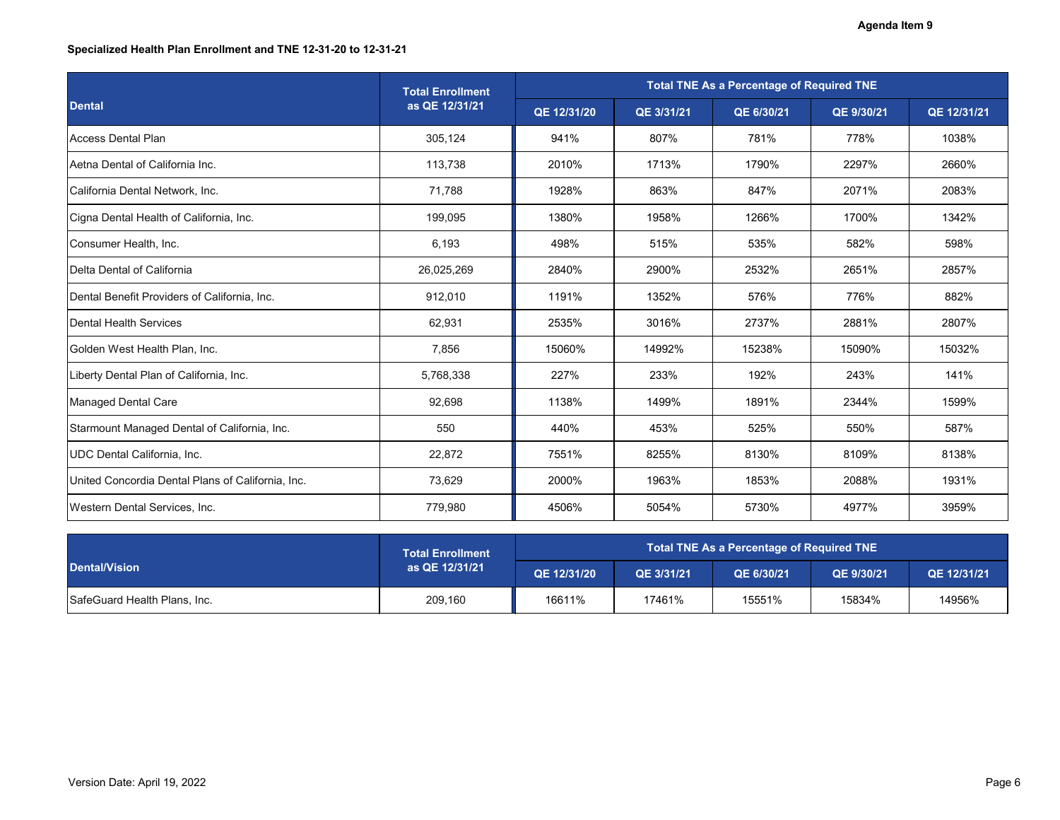# **Specialized Health Plan Enrollment and TNE 12-31-20 to 12-31-21**

|                                                   | <b>Total Enrollment</b> |             |            | <b>Total TNE As a Percentage of Required TNE</b> |            |             |
|---------------------------------------------------|-------------------------|-------------|------------|--------------------------------------------------|------------|-------------|
| <b>Dental</b>                                     | as QE 12/31/21          | QE 12/31/20 | QE 3/31/21 | QE 6/30/21                                       | QE 9/30/21 | QE 12/31/21 |
| <b>Access Dental Plan</b>                         | 305,124                 | 941%        | 807%       | 781%                                             | 778%       | 1038%       |
| Aetna Dental of California Inc.                   | 113,738                 | 2010%       | 1713%      | 1790%                                            | 2297%      | 2660%       |
| California Dental Network, Inc.                   | 71,788                  | 1928%       | 863%       | 847%                                             | 2071%      | 2083%       |
| Cigna Dental Health of California, Inc.           | 199,095                 | 1380%       | 1958%      | 1266%                                            | 1700%      | 1342%       |
| Consumer Health, Inc.                             | 6,193                   | 498%        | 515%       | 535%                                             | 582%       | 598%        |
| Delta Dental of California                        | 26,025,269              | 2840%       | 2900%      | 2532%                                            | 2651%      | 2857%       |
| Dental Benefit Providers of California, Inc.      | 912,010                 | 1191%       | 1352%      | 576%                                             | 776%       | 882%        |
| <b>Dental Health Services</b>                     | 62,931                  | 2535%       | 3016%      | 2737%                                            | 2881%      | 2807%       |
| Golden West Health Plan, Inc.                     | 7,856                   | 15060%      | 14992%     | 15238%                                           | 15090%     | 15032%      |
| Liberty Dental Plan of California, Inc.           | 5,768,338               | 227%        | 233%       | 192%                                             | 243%       | 141%        |
| <b>Managed Dental Care</b>                        | 92,698                  | 1138%       | 1499%      | 1891%                                            | 2344%      | 1599%       |
| Starmount Managed Dental of California, Inc.      | 550                     | 440%        | 453%       | 525%                                             | 550%       | 587%        |
| <b>JDC Dental California, Inc.</b>                | 22,872                  | 7551%       | 8255%      | 8130%                                            | 8109%      | 8138%       |
| United Concordia Dental Plans of California, Inc. | 73,629                  | 2000%       | 1963%      | 1853%                                            | 2088%      | 1931%       |
| Western Dental Services, Inc.                     | 779,980                 | 4506%       | 5054%      | 5730%                                            | 4977%      | 3959%       |

|                              | <b>Total Enrollment</b> | Total TNE As a Percentage of Required TNE |            |            |                   |             |  |  |
|------------------------------|-------------------------|-------------------------------------------|------------|------------|-------------------|-------------|--|--|
| <b>Dental/Vision</b>         | as QE 12/31/21          | QE 12/31/20                               | QE 3/31/21 | QE 6/30/21 | <b>QE 9/30/21</b> | QE 12/31/21 |  |  |
| SafeGuard Health Plans, Inc. | 209,160                 | 16611%                                    | 17461%     | 15551%     | 15834%            | 14956%      |  |  |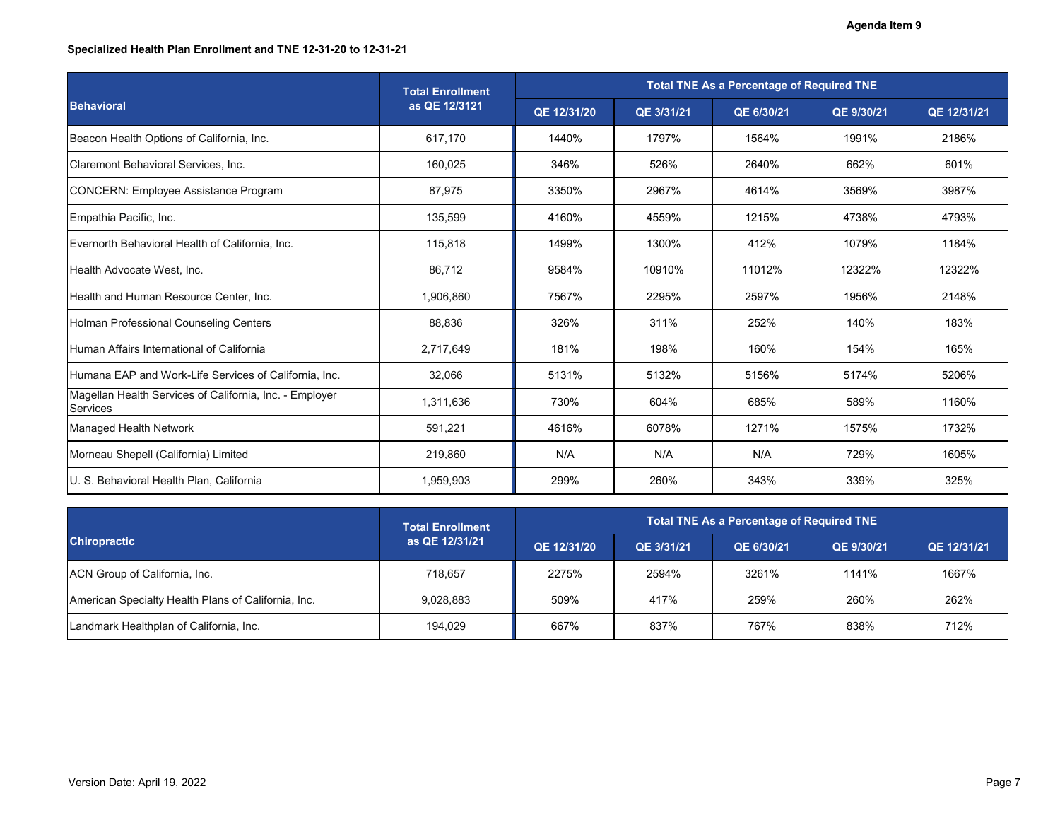# **Specialized Health Plan Enrollment and TNE 12-31-20 to 12-31-21**

|                                                                            | <b>Total Enrollment</b> |             |            | <b>Total TNE As a Percentage of Required TNE</b> |            |             |
|----------------------------------------------------------------------------|-------------------------|-------------|------------|--------------------------------------------------|------------|-------------|
| <b>Behavioral</b>                                                          | as QE 12/3121           | QE 12/31/20 | QE 3/31/21 | QE 6/30/21                                       | QE 9/30/21 | QE 12/31/21 |
| Beacon Health Options of California, Inc.                                  | 617,170                 | 1440%       | 1797%      | 1564%                                            | 1991%      | 2186%       |
| Claremont Behavioral Services, Inc.                                        | 160,025                 | 346%        | 526%       | 2640%                                            | 662%       | 601%        |
| CONCERN: Employee Assistance Program                                       | 87,975                  | 3350%       | 2967%      | 4614%                                            | 3569%      | 3987%       |
| Empathia Pacific, Inc.                                                     | 135,599                 | 4160%       | 4559%      | 1215%                                            | 4738%      | 4793%       |
| Evernorth Behavioral Health of California, Inc.                            | 115,818                 | 1499%       | 1300%      | 412%                                             | 1079%      | 1184%       |
| Health Advocate West, Inc.                                                 | 86,712                  | 9584%       | 10910%     | 11012%                                           | 12322%     | 12322%      |
| Health and Human Resource Center, Inc.                                     | 1,906,860               | 7567%       | 2295%      | 2597%                                            | 1956%      | 2148%       |
| Holman Professional Counseling Centers                                     | 88,836                  | 326%        | 311%       | 252%                                             | 140%       | 183%        |
| Human Affairs International of California                                  | 2,717,649               | 181%        | 198%       | 160%                                             | 154%       | 165%        |
| Humana EAP and Work-Life Services of California, Inc.                      | 32,066                  | 5131%       | 5132%      | 5156%                                            | 5174%      | 5206%       |
| Magellan Health Services of California, Inc. - Employer<br><b>Services</b> | 1,311,636               | 730%        | 604%       | 685%                                             | 589%       | 1160%       |
| <b>Managed Health Network</b>                                              | 591,221                 | 4616%       | 6078%      | 1271%                                            | 1575%      | 1732%       |
| Morneau Shepell (California) Limited                                       | 219,860                 | N/A         | N/A        | N/A                                              | 729%       | 1605%       |
| U. S. Behavioral Health Plan, California                                   | 1,959,903               | 299%        | 260%       | 343%                                             | 339%       | 325%        |

|                                                     | <b>Total Enrollment</b> | Total TNE As a Percentage of Required TNE |            |            |            |             |  |  |
|-----------------------------------------------------|-------------------------|-------------------------------------------|------------|------------|------------|-------------|--|--|
| <b>Chiropractic</b>                                 | as QE 12/31/21          | QE 12/31/20                               | QE 3/31/21 | QE 6/30/21 | QE 9/30/21 | QE 12/31/21 |  |  |
| ACN Group of California, Inc.                       | 718,657                 | 2275%                                     | 2594%      | 3261%      | 1141%      | 1667%       |  |  |
| American Specialty Health Plans of California, Inc. | 9,028,883               | 509%                                      | 417%       | 259%       | 260%       | 262%        |  |  |
| Landmark Healthplan of California, Inc.             | 194,029                 | 667%                                      | 837%       | 767%       | 838%       | 712%        |  |  |